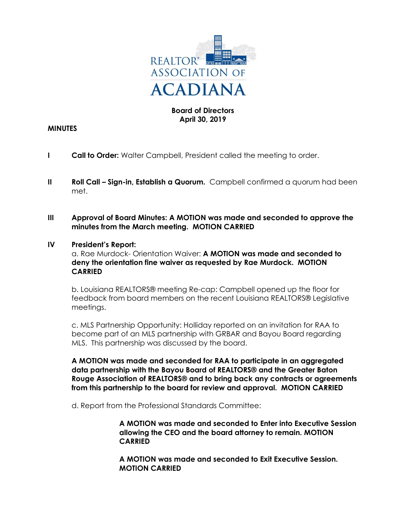

# **Board of Directors April 30, 2019**

## **MINUTES**

- **I Call to Order:** Walter Campbell, President called the meeting to order.
- **II** Roll Call Sign-in, Establish a Quorum. Campbell confirmed a quorum had been met.
- **III Approval of Board Minutes: A MOTION was made and seconded to approve the minutes from the March meeting. MOTION CARRIED**

### **IV President's Report:**

a. Rae Murdock- Orientation Waiver: **A MOTION was made and seconded to deny the orientation fine waiver as requested by Rae Murdock. MOTION CARRIED**

b. Louisiana REALTORS® meeting Re-cap: Campbell opened up the floor for feedback from board members on the recent Louisiana REALTORS® Legislative meetings.

c. MLS Partnership Opportunity: Holliday reported on an invitation for RAA to become part of an MLS partnership with GRBAR and Bayou Board regarding MLS. This partnership was discussed by the board.

**A MOTION was made and seconded for RAA to participate in an aggregated data partnership with the Bayou Board of REALTORS® and the Greater Baton Rouge Association of REALTORS® and to bring back any contracts or agreements from this partnership to the board for review and approval. MOTION CARRIED**

d. Report from the Professional Standards Committee:

**A MOTION was made and seconded to Enter into Executive Session allowing the CEO and the board attorney to remain. MOTION CARRIED**

**A MOTION was made and seconded to Exit Executive Session. MOTION CARRIED**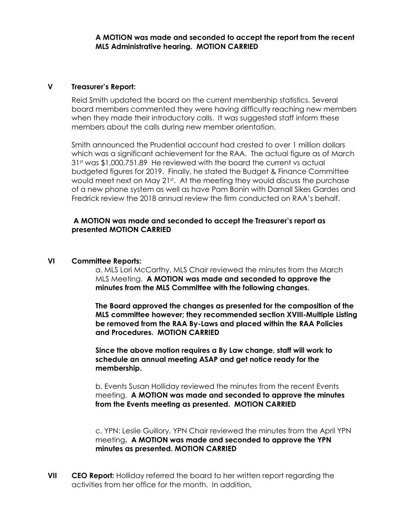### **A MOTION was made and seconded to accept the report from the recent MLS Administrative hearing. MOTION CARRIED**

## **V Treasurer's Report:**

Reid Smith updated the board on the current membership statistics. Several board members commented they were having difficulty reaching new members when they made their introductory calls. It was suggested staff inform these members about the calls during new member orientation.

Smith announced the Prudential account had crested to over 1 million dollars which was a significant achievement for the RAA. The actual figure as of March 31st was \$1,000,751.89 He reviewed with the board the current vs actual budgeted figures for 2019. Finally, he stated the Budget & Finance Committee would meet next on May 21<sup>st</sup>. At the meeting they would discuss the purchase of a new phone system as well as have Pam Bonin with Darnall Sikes Gardes and Fredrick review the 2018 annual review the firm conducted on RAA's behalf.

### **A MOTION was made and seconded to accept the Treasurer's report as presented MOTION CARRIED**

#### **VI Committee Reports:**

a. MLS Lori McCarthy, MLS Chair reviewed the minutes from the March MLS Meeting. **A MOTION was made and seconded to approve the minutes from the MLS Committee with the following changes.**

**The Board approved the changes as presented for the composition of the MLS committee however; they recommended section XVIII-Multiple Listing be removed from the RAA By-Laws and placed within the RAA Policies and Procedures. MOTION CARRIED**

**Since the above motion requires a By Law change, staff will work to schedule an annual meeting ASAP and get notice ready for the membership.**

b. Events Susan Holliday reviewed the minutes from the recent Events meeting. **A MOTION was made and seconded to approve the minutes from the Events meeting as presented. MOTION CARRIED**

c. YPN: Leslie Guillory, YPN Chair reviewed the minutes from the April YPN meeting**. A MOTION was made and seconded to approve the YPN minutes as presented. MOTION CARRIED**

**VII CEO Report:** Holliday referred the board to her written report regarding the activities from her office for the month. In addition,